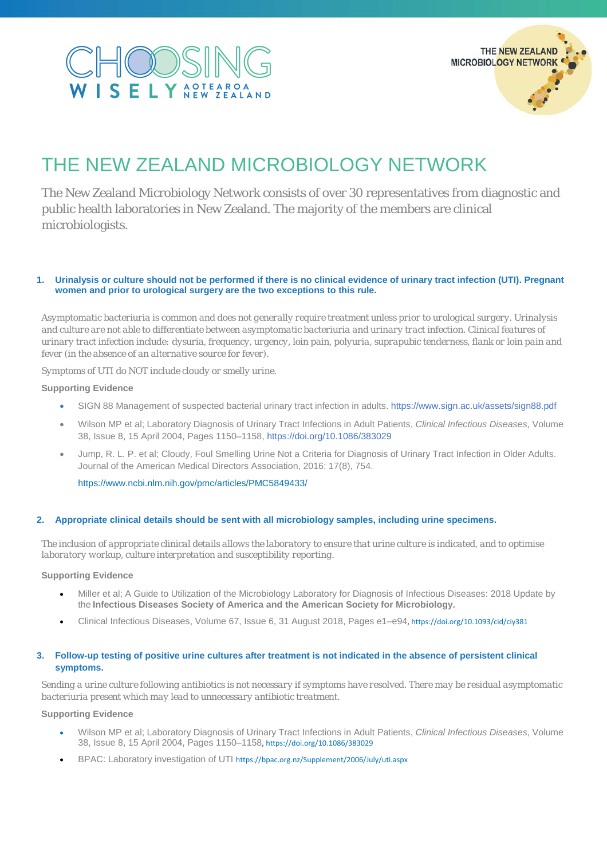## $\Omega$ SELY AOTEAROA



### THE NEW ZEALAND MICROBIOLOGY NETWORK

The New Zealand Microbiology Network consists of over 30 representatives from diagnostic and public health laboratories in New Zealand. The majority of the members are clinical microbiologists.

#### **1. Urinalysis or culture should not be performed if there is no clinical evidence of urinary tract infection (UTI). Pregnant women and prior to urological surgery are the two exceptions to this rule.**

*Asymptomatic bacteriuria is common and does not generally require treatment unless prior to urological surgery. Urinalysis and culture are not able to differentiate between asymptomatic bacteriuria and urinary tract infection. Clinical features of urinary tract infection include: dysuria, frequency, urgency, loin pain, polyuria, suprapubic tenderness, flank or loin pain and fever (in the absence of an alternative source for fever).*

*Symptoms of UTI do NOT include cloudy or smelly urine.*

#### **Supporting Evidence**

- SIGN 88 Management of suspected bacterial urinary tract infection in adults. https://www.sign.ac.uk/assets/sign88.pdf
- Wilson MP et al; Laboratory Diagnosis of Urinary Tract Infections in Adult Patients, *Clinical Infectious Diseases*, Volume 38, Issue 8, 15 April 2004, Pages 1150–1158[, https://doi.org/10.1086/383029](https://doi.org/10.1086/383029)
- Jump, R. L. P. et al; Cloudy, Foul Smelling Urine Not a Criteria for Diagnosis of Urinary Tract Infection in Older Adults. Journal of the American Medical Directors Association, 2016: 17(8), 754.

<https://www.ncbi.nlm.nih.gov/pmc/articles/PMC5849433/>

#### **2. Appropriate clinical details should be sent with all microbiology samples, including urine specimens.**

*The inclusion of appropriate clinical details allows the laboratory to ensure that urine culture is indicated, and to optimise laboratory workup, culture interpretation and susceptibility reporting.*

#### **Supporting Evidence**

- Miller et al; A Guide to Utilization of the Microbiology Laboratory for Diagnosis of Infectious Diseases: 2018 Update by the **Infectious Diseases Society of America and the American Society for Microbiology.**
- Clinical Infectious Diseases, Volume 67, Issue 6, 31 August 2018, Pages e1–e94[, https://doi.org/10.1093/cid/ciy381](https://doi.org/10.1093/cid/ciy381)

#### **3. Follow-up testing of positive urine cultures after treatment is not indicated in the absence of persistent clinical symptoms.**

*Sending a urine culture following antibiotics is not necessary if symptoms have resolved. There may be residual asymptomatic bacteriuria present which may lead to unnecessary antibiotic treatment.*

#### **Supporting Evidence**

- Wilson MP et al; Laboratory Diagnosis of Urinary Tract Infections in Adult Patients, *Clinical Infectious Diseases*, Volume 38, Issue 8, 15 April 2004, Pages 1150–1158[, https://doi.org/10.1086/383029](https://doi.org/10.1086/383029)
- BPAC: Laboratory investigation of UTI <https://bpac.org.nz/Supplement/2006/July/uti.aspx>